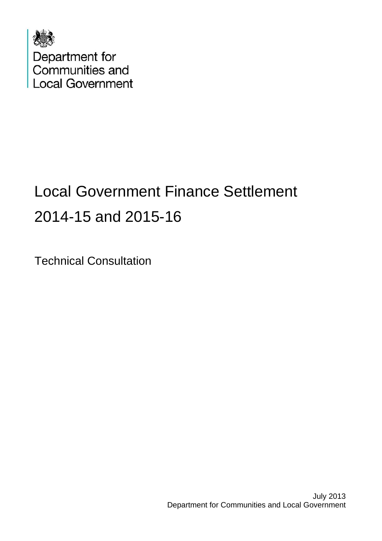

# Local Government Finance Settlement 2014-15 and 2015-16

Technical Consultation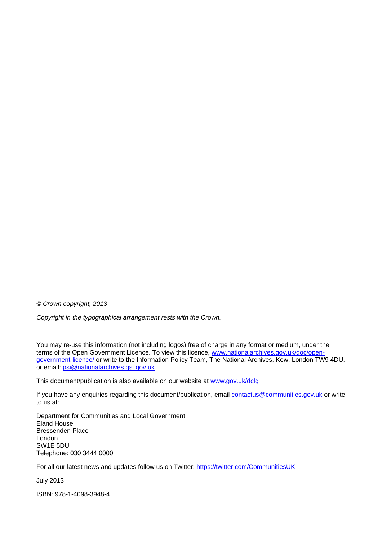*© Crown copyright, 2013* 

*Copyright in the typographical arrangement rests with the Crown.* 

You may re-use this information (not including logos) free of charge in any format or medium, under the terms of the Open Government Licence. To view this licence, [www.nationalarchives.gov.uk/doc/open](http://www.nationalarchives.gov.uk/doc/open-government-licence/)[government-licence/](http://www.nationalarchives.gov.uk/doc/open-government-licence/) or write to the Information Policy Team, The National Archives, Kew, London TW9 4DU, or email: [psi@nationalarchives.gsi.gov.uk.](mailto:psi@nationalarchives.gsi.gov.uk)

This document/publication is also available on our website at [www.gov.uk/dclg](http://www.gov.uk/dclg)

If you have any enquiries regarding this document/publication, email [contactus@communities.gov.uk](mailto:contactus@communities.gsi.gov.uk) or write to us at:

Department for Communities and Local Government Eland House Bressenden Place London SW1E 5DU Telephone: 030 3444 0000

For all our latest news and updates follow us on Twitter: https://twitter.com/CommunitiesUK

July 2013

ISBN: 978-1-4098-3948-4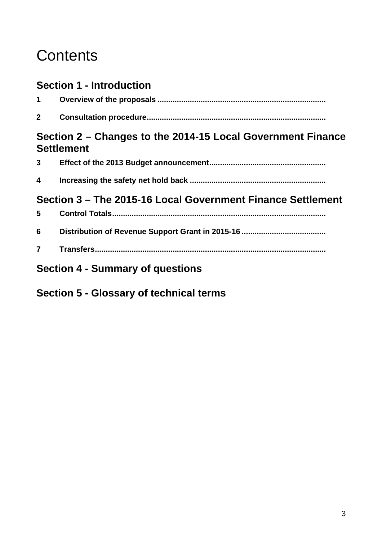## **Contents**

### **Section 1 - Introduction**

| $\mathbf{2}$            |                                                                                  |
|-------------------------|----------------------------------------------------------------------------------|
|                         | Section 2 – Changes to the 2014-15 Local Government Finance<br><b>Settlement</b> |
|                         |                                                                                  |
| $\overline{\mathbf{4}}$ |                                                                                  |
|                         | Section 3 – The 2015-16 Local Government Finance Settlement                      |
| 5 <sup>1</sup>          |                                                                                  |
| 6                       |                                                                                  |
| $\overline{7}$          |                                                                                  |

## **Section 4 - Summary of questions**

**Section 5 - Glossary of technical terms**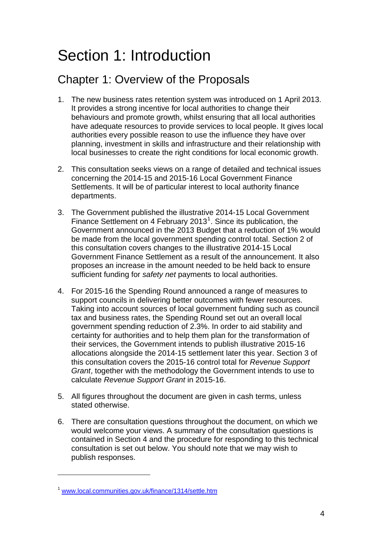## Section 1: Introduction

## Chapter 1: Overview of the Proposals

- 1. The new business rates retention system was introduced on 1 April 2013. It provides a strong incentive for local authorities to change their behaviours and promote growth, whilst ensuring that all local authorities have adequate resources to provide services to local people. It gives local authorities every possible reason to use the influence they have over planning, investment in skills and infrastructure and their relationship with local businesses to create the right conditions for local economic growth.
- 2. This consultation seeks views on a range of detailed and technical issues concerning the 2014-15 and 2015-16 Local Government Finance Settlements. It will be of particular interest to local authority finance departments.
- 3. The Government published the illustrative 2014-15 Local Government Finance Settlement on 4 February 20[1](#page-3-0)3<sup>1</sup>. Since its publication, the Government announced in the 2013 Budget that a reduction of 1% would be made from the local government spending control total. Section 2 of this consultation covers changes to the illustrative 2014-15 Local Government Finance Settlement as a result of the announcement. It also proposes an increase in the amount needed to be held back to ensure sufficient funding for *safety net* payments to local authorities.
- 4. For 2015-16 the Spending Round announced a range of measures to support councils in delivering better outcomes with fewer resources. Taking into account sources of local government funding such as council tax and business rates, the Spending Round set out an overall local government spending reduction of 2.3%. In order to aid stability and certainty for authorities and to help them plan for the transformation of their services, the Government intends to publish illustrative 2015-16 allocations alongside the 2014-15 settlement later this year. Section 3 of this consultation covers the 2015-16 control total for *Revenue Support Grant*, together with the methodology the Government intends to use to calculate *Revenue Support Grant* in 2015-16.
- 5. All figures throughout the document are given in cash terms, unless stated otherwise.
- 6. There are consultation questions throughout the document, on which we would welcome your views. A summary of the consultation questions is contained in Section 4 and the procedure for responding to this technical consultation is set out below. You should note that we may wish to publish responses.

 $\overline{a}$ 

<span id="page-3-0"></span><sup>1</sup> [www.local.communities.gov.uk/finance/1314/settle.htm](http://www.local.communities.gov.uk/finance/1314/settle.htm)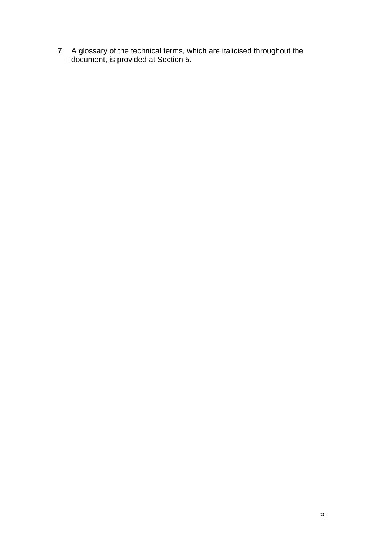7. A glossary of the technical terms, which are italicised throughout the document, is provided at Section 5.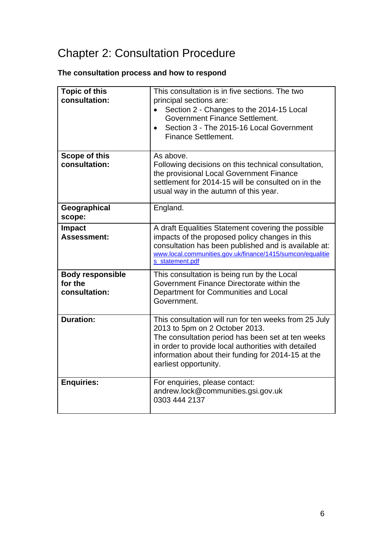## Chapter 2: Consultation Procedure

### **The consultation process and how to respond**

| <b>Topic of this</b><br>consultation:               | This consultation is in five sections. The two<br>principal sections are:<br>Section 2 - Changes to the 2014-15 Local<br>$\bullet$<br>Government Finance Settlement.<br>Section 3 - The 2015-16 Local Government<br><b>Finance Settlement.</b>                                     |
|-----------------------------------------------------|------------------------------------------------------------------------------------------------------------------------------------------------------------------------------------------------------------------------------------------------------------------------------------|
| Scope of this<br>consultation:                      | As above.<br>Following decisions on this technical consultation,<br>the provisional Local Government Finance<br>settlement for 2014-15 will be consulted on in the<br>usual way in the autumn of this year.                                                                        |
| Geographical<br>scope:                              | England.                                                                                                                                                                                                                                                                           |
| Impact<br><b>Assessment:</b>                        | A draft Equalities Statement covering the possible<br>impacts of the proposed policy changes in this<br>consultation has been published and is available at:<br>www.local.communities.gov.uk/finance/1415/sumcon/equalitie<br>s statement.pdf                                      |
| <b>Body responsible</b><br>for the<br>consultation: | This consultation is being run by the Local<br>Government Finance Directorate within the<br>Department for Communities and Local<br>Government.                                                                                                                                    |
| <b>Duration:</b>                                    | This consultation will run for ten weeks from 25 July<br>2013 to 5pm on 2 October 2013.<br>The consultation period has been set at ten weeks<br>in order to provide local authorities with detailed<br>information about their funding for 2014-15 at the<br>earliest opportunity. |
| <b>Enquiries:</b>                                   | For enquiries, please contact:<br>andrew.lock@communities.gsi.gov.uk<br>0303 444 2137                                                                                                                                                                                              |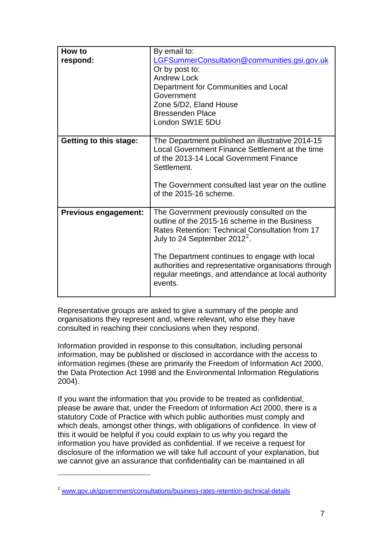| How to<br>respond:            | By email to:<br>LGFSummerConsultation@communities.gsi.gov.uk<br>Or by post to:<br><b>Andrew Lock</b><br>Department for Communities and Local<br>Government<br>Zone 5/D2, Eland House<br><b>Bressenden Place</b><br>London SW1E 5DU                                                                                                                           |
|-------------------------------|--------------------------------------------------------------------------------------------------------------------------------------------------------------------------------------------------------------------------------------------------------------------------------------------------------------------------------------------------------------|
| <b>Getting to this stage:</b> | The Department published an illustrative 2014-15<br>Local Government Finance Settlement at the time<br>of the 2013-14 Local Government Finance<br>Settlement.<br>The Government consulted last year on the outline<br>of the $2015-16$ scheme.                                                                                                               |
| <b>Previous engagement:</b>   | The Government previously consulted on the<br>outline of the 2015-16 scheme in the Business<br>Rates Retention: Technical Consultation from 17<br>July to 24 September $2012^2$ .<br>The Department continues to engage with local<br>authorities and representative organisations through<br>regular meetings, and attendance at local authority<br>events. |

Representative groups are asked to give a summary of the people and organisations they represent and, where relevant, who else they have consulted in reaching their conclusions when they respond.

Information provided in response to this consultation, including personal information, may be published or disclosed in accordance with the access to information regimes (these are primarily the Freedom of Information Act 2000, the Data Protection Act 1998 and the Environmental Information Regulations 2004).

If you want the information that you provide to be treated as confidential, please be aware that, under the Freedom of Information Act 2000, there is a statutory Code of Practice with which public authorities must comply and which deals, amongst other things, with obligations of confidence. In view of this it would be helpful if you could explain to us why you regard the information you have provided as confidential. If we receive a request for disclosure of the information we will take full account of your explanation, but we cannot give an assurance that confidentiality can be maintained in all

 $\overline{a}$ 

<span id="page-6-0"></span><sup>&</sup>lt;sup>2</sup> [www.gov.uk/government/consultations/business-rates-retention-technical-details](http://www.gov.uk/government/consultations/business-rates-retention-technical-details)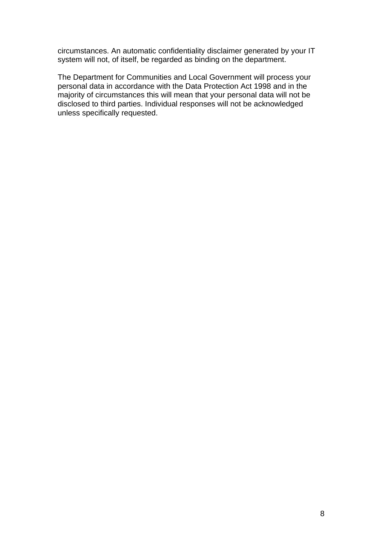circumstances. An automatic confidentiality disclaimer generated by your IT system will not, of itself, be regarded as binding on the department.

The Department for Communities and Local Government will process your personal data in accordance with the Data Protection Act 1998 and in the majority of circumstances this will mean that your personal data will not be disclosed to third parties. Individual responses will not be acknowledged unless specifically requested.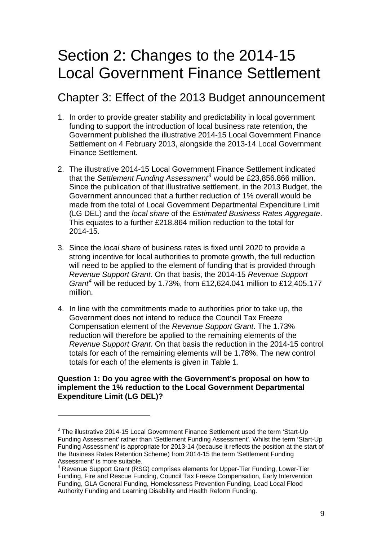## Section 2: Changes to the 2014-15 Local Government Finance Settlement

### Chapter 3: Effect of the 2013 Budget announcement

- 1. In order to provide greater stability and predictability in local government funding to support the introduction of local business rate retention, the Government published the illustrative 2014-15 Local Government Finance Settlement on 4 February 2013, alongside the 2013-14 Local Government Finance Settlement.
- 2. The illustrative 2014-15 Local Government Finance Settlement indicated that the *Settlement Funding Assessment[3](#page-8-0)* would be £23,856.866 million. Since the publication of that illustrative settlement, in the 2013 Budget, the Government announced that a further reduction of 1% overall would be made from the total of Local Government Departmental Expenditure Limit (LG DEL) and the *local share* of the *Estimated Business Rates Aggregate*. This equates to a further £218.864 million reduction to the total for 2014-15.
- 3. Since the *local share* of business rates is fixed until 2020 to provide a strong incentive for local authorities to promote growth, the full reduction will need to be applied to the element of funding that is provided through *Revenue Support Grant*. On that basis, the 2014-15 *Revenue Support Grant[4](#page-8-1)* will be reduced by 1.73%, from £12,624.041 million to £12,405.177 million.
- 4. In line with the commitments made to authorities prior to take up, the Government does not intend to reduce the Council Tax Freeze Compensation element of the *Revenue Support Grant*. The 1.73% reduction will therefore be applied to the remaining elements of the *Revenue Support Grant*. On that basis the reduction in the 2014-15 control totals for each of the remaining elements will be 1.78%. The new control totals for each of the elements is given in Table 1.

#### **Question 1: Do you agree with the Government's proposal on how to implement the 1% reduction to the Local Government Departmental Expenditure Limit (LG DEL)?**

l

<span id="page-8-0"></span> $3$  The illustrative 2014-15 Local Government Finance Settlement used the term 'Start-Up Funding Assessment' rather than 'Settlement Funding Assessment'. Whilst the term 'Start-Up Funding Assessment' is appropriate for 2013-14 (because it reflects the position at the start of the Business Rates Retention Scheme) from 2014-15 the term 'Settlement Funding Assessment' is more suitable.

<span id="page-8-1"></span><sup>&</sup>lt;sup>4</sup> Revenue Support Grant (RSG) comprises elements for Upper-Tier Funding, Lower-Tier Funding, Fire and Rescue Funding, Council Tax Freeze Compensation, Early Intervention Funding, GLA General Funding, Homelessness Prevention Funding, Lead Local Flood Authority Funding and Learning Disability and Health Reform Funding.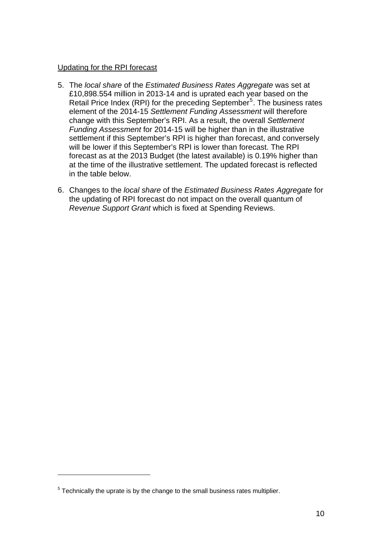#### Updating for the RPI forecast

- 5. The *local share* of the *Estimated Business Rates Aggregate* was set at £10,898.554 million in 2013-14 and is uprated each year based on the Retail Price Index (RPI) for the preceding September<sup>[5](#page-9-0)</sup>. The business rates element of the 2014-15 *Settlement Funding Assessment* will therefore change with this September's RPI. As a result, the overall *Settlement Funding Assessment* for 2014-15 will be higher than in the illustrative settlement if this September's RPI is higher than forecast, and conversely will be lower if this September's RPI is lower than forecast. The RPI forecast as at the 2013 Budget (the latest available) is 0.19% higher than at the time of the illustrative settlement. The updated forecast is reflected in the table below.
- 6. Changes to the *local share* of the *Estimated Business Rates Aggregate* for the updating of RPI forecast do not impact on the overall quantum of *Revenue Support Grant* which is fixed at Spending Reviews.

 $\overline{a}$ 

<span id="page-9-0"></span> $<sup>5</sup>$  Technically the uprate is by the change to the small business rates multiplier.</sup>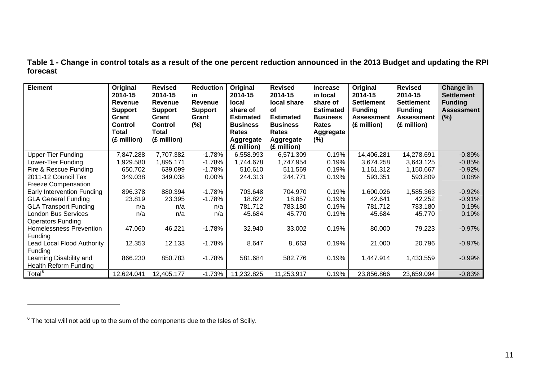**Table 1 - Change in control totals as a result of the one percent reduction announced in the 2013 Budget and updating the RPI forecast**

| <b>Element</b>                 | Original<br>2014-15<br><b>Revenue</b><br><b>Support</b><br>Grant<br><b>Control</b><br><b>Total</b><br>(£ million) | <b>Revised</b><br>2014-15<br>Revenue<br><b>Support</b><br>Grant<br><b>Control</b><br>Total<br>(£ million) | <b>Reduction</b><br>in.<br><b>Revenue</b><br><b>Support</b><br>Grant<br>$(\%)$ | Original<br>2014-15<br><b>local</b><br>share of<br><b>Estimated</b><br><b>Business</b><br>Rates<br>Aggregate<br>(£ million) | <b>Revised</b><br>2014-15<br>local share<br>οf<br><b>Estimated</b><br><b>Business</b><br><b>Rates</b><br>Aggregate<br>(£ million) | <b>Increase</b><br>in local<br>share of<br><b>Estimated</b><br><b>Business</b><br>Rates<br>Aggregate<br>$(\%)$ | Original<br>2014-15<br><b>Settlement</b><br><b>Funding</b><br><b>Assessment</b><br>(£ million) | <b>Revised</b><br>2014-15<br><b>Settlement</b><br><b>Funding</b><br><b>Assessment</b><br>(£ million) | Change in<br><b>Settlement</b><br><b>Funding</b><br><b>Assessment</b><br>(%) |
|--------------------------------|-------------------------------------------------------------------------------------------------------------------|-----------------------------------------------------------------------------------------------------------|--------------------------------------------------------------------------------|-----------------------------------------------------------------------------------------------------------------------------|-----------------------------------------------------------------------------------------------------------------------------------|----------------------------------------------------------------------------------------------------------------|------------------------------------------------------------------------------------------------|------------------------------------------------------------------------------------------------------|------------------------------------------------------------------------------|
| <b>Upper-Tier Funding</b>      | 7,847.288                                                                                                         | 7,707.382                                                                                                 | $-1.78%$                                                                       | 6,558.993                                                                                                                   | 6,571.309                                                                                                                         | 0.19%                                                                                                          | 14,406.281                                                                                     | 14,278.691                                                                                           | $-0.89%$                                                                     |
| Lower-Tier Funding             | 1,929.580                                                                                                         | 1,895.171                                                                                                 | $-1.78%$                                                                       | 1,744.678                                                                                                                   | 1,747.954                                                                                                                         | 0.19%                                                                                                          | 3,674.258                                                                                      | 3,643.125                                                                                            | $-0.85%$                                                                     |
| Fire & Rescue Funding          | 650.702                                                                                                           | 639.099                                                                                                   | $-1.78%$                                                                       | 510.610                                                                                                                     | 511.569                                                                                                                           | 0.19%                                                                                                          | 1,161.312                                                                                      | 1,150.667                                                                                            | $-0.92%$                                                                     |
| 2011-12 Council Tax            | 349.038                                                                                                           | 349.038                                                                                                   | 0.00%                                                                          | 244.313                                                                                                                     | 244.771                                                                                                                           | 0.19%                                                                                                          | 593.351                                                                                        | 593.809                                                                                              | 0.08%                                                                        |
| <b>Freeze Compensation</b>     |                                                                                                                   |                                                                                                           |                                                                                |                                                                                                                             |                                                                                                                                   |                                                                                                                |                                                                                                |                                                                                                      |                                                                              |
| Early Intervention Funding     | 896.378                                                                                                           | 880.394                                                                                                   | $-1.78%$                                                                       | 703.648                                                                                                                     | 704.970                                                                                                                           | 0.19%                                                                                                          | 1,600.026                                                                                      | 1,585.363                                                                                            | $-0.92%$                                                                     |
| <b>GLA General Funding</b>     | 23.819                                                                                                            | 23.395                                                                                                    | $-1.78%$                                                                       | 18.822                                                                                                                      | 18.857                                                                                                                            | 0.19%                                                                                                          | 42.641                                                                                         | 42.252                                                                                               | $-0.91%$                                                                     |
| <b>GLA Transport Funding</b>   | n/a                                                                                                               | n/a                                                                                                       | n/a                                                                            | 781.712                                                                                                                     | 783.180                                                                                                                           | 0.19%                                                                                                          | 781.712                                                                                        | 783.180                                                                                              | 0.19%                                                                        |
| <b>London Bus Services</b>     | n/a                                                                                                               | n/a                                                                                                       | n/a                                                                            | 45.684                                                                                                                      | 45.770                                                                                                                            | 0.19%                                                                                                          | 45.684                                                                                         | 45.770                                                                                               | 0.19%                                                                        |
| <b>Operators Funding</b>       |                                                                                                                   |                                                                                                           |                                                                                |                                                                                                                             |                                                                                                                                   |                                                                                                                |                                                                                                |                                                                                                      |                                                                              |
| <b>Homelessness Prevention</b> | 47.060                                                                                                            | 46.221                                                                                                    | $-1.78%$                                                                       | 32.940                                                                                                                      | 33.002                                                                                                                            | 0.19%                                                                                                          | 80.000                                                                                         | 79.223                                                                                               | $-0.97%$                                                                     |
| Funding                        |                                                                                                                   |                                                                                                           |                                                                                |                                                                                                                             |                                                                                                                                   |                                                                                                                |                                                                                                |                                                                                                      |                                                                              |
| Lead Local Flood Authority     | 12.353                                                                                                            | 12.133                                                                                                    | $-1.78%$                                                                       | 8.647                                                                                                                       | 8,.663                                                                                                                            | 0.19%                                                                                                          | 21.000                                                                                         | 20.796                                                                                               | $-0.97%$                                                                     |
| <b>Funding</b>                 |                                                                                                                   |                                                                                                           |                                                                                |                                                                                                                             |                                                                                                                                   |                                                                                                                |                                                                                                |                                                                                                      |                                                                              |
| Learning Disability and        | 866.230                                                                                                           | 850.783                                                                                                   | $-1.78%$                                                                       | 581.684                                                                                                                     | 582.776                                                                                                                           | 0.19%                                                                                                          | 1,447.914                                                                                      | 1,433.559                                                                                            | $-0.99%$                                                                     |
| <b>Health Reform Funding</b>   |                                                                                                                   |                                                                                                           |                                                                                |                                                                                                                             |                                                                                                                                   |                                                                                                                |                                                                                                |                                                                                                      |                                                                              |
| Total <sup>6</sup>             | 12,624.041                                                                                                        | 12,405.177                                                                                                | $-1.73%$                                                                       | 11,232.825                                                                                                                  | 11,253.917                                                                                                                        | 0.19%                                                                                                          | 23,856.866                                                                                     | 23,659.094                                                                                           | $-0.83%$                                                                     |

 $6$  The total will not add up to the sum of the components due to the Isles of Scilly.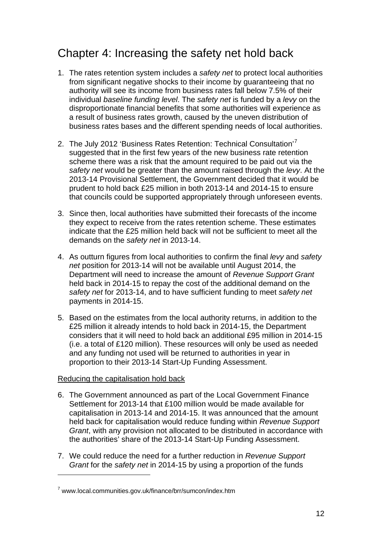### <span id="page-11-0"></span>Chapter 4: Increasing the safety net hold back

- 1. The rates retention system includes a *safety net* to protect local authorities from significant negative shocks to their income by guaranteeing that no authority will see its income from business rates fall below 7.5% of their individual *baseline funding level*. The *safety net* is funded by a *levy* on the disproportionate financial benefits that some authorities will experience as a result of business rates growth, caused by the uneven distribution of business rates bases and the different spending needs of local authorities.
- 2. The July 2012 'Business Rates Retention: Technical Consultation'<sup>[7](#page-11-0)</sup> suggested that in the first few years of the new business rate retention scheme there was a risk that the amount required to be paid out via the *safety net* would be greater than the amount raised through the *levy*. At the 2013-14 Provisional Settlement, the Government decided that it would be prudent to hold back £25 million in both 2013-14 and 2014-15 to ensure that councils could be supported appropriately through unforeseen events.
- 3. Since then, local authorities have submitted their forecasts of the income they expect to receive from the rates retention scheme. These estimates indicate that the £25 million held back will not be sufficient to meet all the demands on the *safety net* in 2013-14.
- 4. As outturn figures from local authorities to confirm the final *levy* and *safety net* position for 2013-14 will not be available until August 2014, the Department will need to increase the amount of *Revenue Support Grant*  held back in 2014-15 to repay the cost of the additional demand on the *safety net* for 2013-14, and to have sufficient funding to meet *safety net*  payments in 2014-15.
- 5. Based on the estimates from the local authority returns, in addition to the £25 million it already intends to hold back in 2014-15, the Department considers that it will need to hold back an additional £95 million in 2014-15 (i.e. a total of £120 million). These resources will only be used as needed and any funding not used will be returned to authorities in year in proportion to their 2013-14 Start-Up Funding Assessment.

#### Reducing the capitalisation hold back

 $\overline{a}$ 

- 6. The Government announced as part of the Local Government Finance Settlement for 2013-14 that £100 million would be made available for capitalisation in 2013-14 and 2014-15. It was announced that the amount held back for capitalisation would reduce funding within *Revenue Support Grant*, with any provision not allocated to be distributed in accordance with the authorities' share of the 2013-14 Start-Up Funding Assessment.
- 7. We could reduce the need for a further reduction in *Revenue Support Grant* for the *safety net* in 2014-15 by using a proportion of the funds

<sup>&</sup>lt;sup>7</sup> www.local.communities.gov.uk/finance/brr/sumcon/index.htm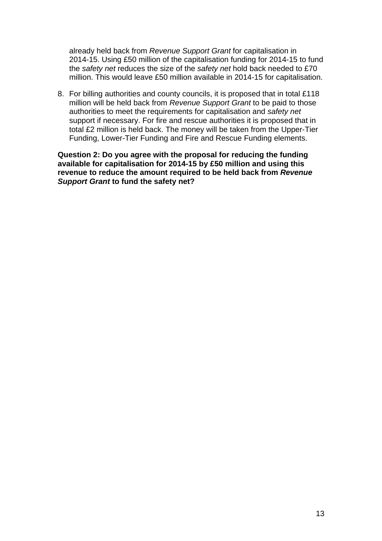already held back from *Revenue Support Grant* for capitalisation in 2014-15. Using £50 million of the capitalisation funding for 2014-15 to fund the *safety net* reduces the size of the *safety net* hold back needed to £70 million. This would leave £50 million available in 2014-15 for capitalisation.

8. For billing authorities and county councils, it is proposed that in total £118 million will be held back from *Revenue Support Grant* to be paid to those authorities to meet the requirements for capitalisation and *safety net*  support if necessary. For fire and rescue authorities it is proposed that in total £2 million is held back. The money will be taken from the Upper-Tier Funding, Lower-Tier Funding and Fire and Rescue Funding elements.

**Question 2: Do you agree with the proposal for reducing the funding available for capitalisation for 2014-15 by £50 million and using this revenue to reduce the amount required to be held back from** *Revenue Support Grant* **to fund the safety net?**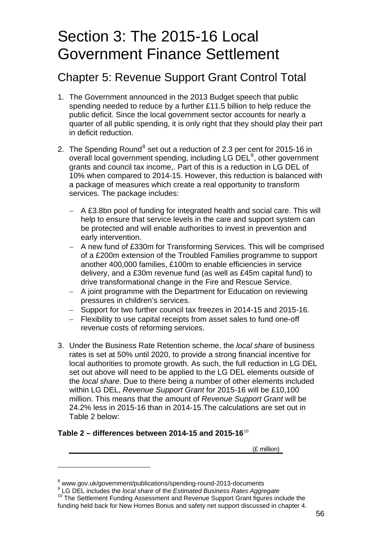## <span id="page-13-0"></span>Section 3: The 2015-16 Local Government Finance Settlement

### Chapter 5: Revenue Support Grant Control Total

- 1. The Government announced in the 2013 Budget speech that public spending needed to reduce by a further £11.5 billion to help reduce the public deficit. Since the local government sector accounts for nearly a quarter of all public spending, it is only right that they should play their part in deficit reduction.
- 2. The Spending Round<sup>[8](#page-13-0)</sup> set out a reduction of 2.3 per cent for 2015-16 in overall local government spending, including LG DEL<sup>[9](#page-13-0)</sup>, other government grants and council tax income,. Part of this is a reduction in LG DEL of 10% when compared to 2014-15. However, this reduction is balanced with a package of measures which create a real opportunity to transform services. The package includes:
	- − A £3.8bn pool of funding for integrated health and social care. This will help to ensure that service levels in the care and support system can be protected and will enable authorities to invest in prevention and early intervention.
	- − A new fund of £330m for Transforming Services. This will be comprised of a £200m extension of the Troubled Families programme to support another 400,000 families, £100m to enable efficiencies in service delivery, and a £30m revenue fund (as well as £45m capital fund) to drive transformational change in the Fire and Rescue Service.
	- − A joint programme with the Department for Education on reviewing pressures in children's services.
	- − Support for two further council tax freezes in 2014-15 and 2015-16.
	- − Flexibility to use capital receipts from asset sales to fund one-off revenue costs of reforming services.
- 3. Under the Business Rate Retention scheme, the *local share* of business rates is set at 50% until 2020, to provide a strong financial incentive for local authorities to promote growth. As such, the full reduction in LG DEL set out above will need to be applied to the LG DEL elements outside of the *local share*. Due to there being a number of other elements included within LG DEL, *Revenue Support Grant* for 2015-16 will be £10,100 million. This means that the amount of *Revenue Support Grant* will be 24.2% less in 2015-16 than in 2014-15.The calculations are set out in Table 2 below:

#### **Table 2 – differences between 2014-15 and 2015-16**[10](#page-13-0)

l

(£ million)

<sup>&</sup>lt;sup>8</sup> www.gov.uk/government/publications/spending-round-2013-documents<br><sup>9</sup> LC DEL includes the Jeaclebara of the *Fetimeted Buginese Rates Aggre* 

LG DEL includes the *local share* of the *Estimated Business Rates Aggregate* 10 The Settlement Funding Assessment and Revenue Support Grant figures include the funding held back for New Homes Bonus and safety net support discussed in chapter 4.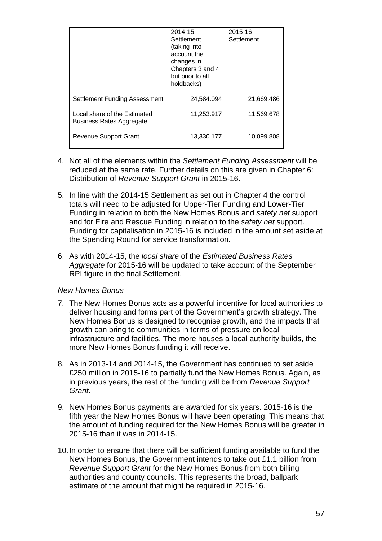|                                                          | 2014-15<br>Settlement<br>(taking into<br>account the<br>changes in<br>Chapters 3 and 4<br>but prior to all<br>holdbacks) | 2015-16<br>Settlement |  |  |
|----------------------------------------------------------|--------------------------------------------------------------------------------------------------------------------------|-----------------------|--|--|
| Settlement Funding Assessment                            | 24.584.094                                                                                                               | 21.669.486            |  |  |
| Local share of the Estimated<br>Business Rates Aggregate | 11,253.917                                                                                                               | 11,569.678            |  |  |
| Revenue Support Grant                                    | 13,330.177                                                                                                               | 10,099.808            |  |  |

- 4. Not all of the elements within the *Settlement Funding Assessment* will be reduced at the same rate. Further details on this are given in Chapter 6: Distribution of *Revenue Support Grant* in 2015-16.
- 5. In line with the 2014-15 Settlement as set out in Chapter 4 the control totals will need to be adjusted for Upper-Tier Funding and Lower-Tier Funding in relation to both the New Homes Bonus and *safety net* support and for Fire and Rescue Funding in relation to the *safety net* support. Funding for capitalisation in 2015-16 is included in the amount set aside at the Spending Round for service transformation.
- 6. As with 2014-15, the *local share* of the *Estimated Business Rates Aggregate* for 2015-16 will be updated to take account of the September RPI figure in the final Settlement.

#### *New Homes Bonus*

- 7. The New Homes Bonus acts as a powerful incentive for local authorities to deliver housing and forms part of the Government's growth strategy. The New Homes Bonus is designed to recognise growth, and the impacts that growth can bring to communities in terms of pressure on local infrastructure and facilities. The more houses a local authority builds, the more New Homes Bonus funding it will receive.
- 8. As in 2013-14 and 2014-15, the Government has continued to set aside £250 million in 2015-16 to partially fund the New Homes Bonus. Again, as in previous years, the rest of the funding will be from *Revenue Support Grant*.
- 9. New Homes Bonus payments are awarded for six years. 2015-16 is the fifth year the New Homes Bonus will have been operating. This means that the amount of funding required for the New Homes Bonus will be greater in 2015-16 than it was in 2014-15.
- 10. In order to ensure that there will be sufficient funding available to fund the New Homes Bonus, the Government intends to take out £1.1 billion from *Revenue Support Grant* for the New Homes Bonus from both billing authorities and county councils. This represents the broad, ballpark estimate of the amount that might be required in 2015-16.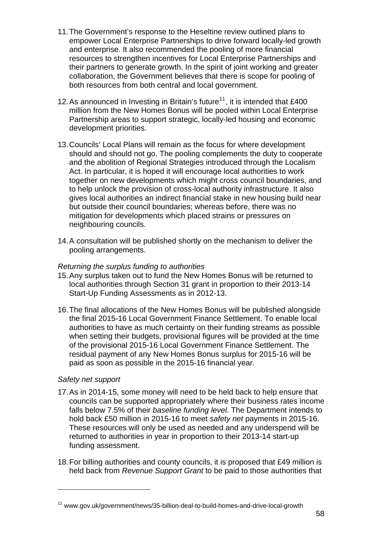- <span id="page-15-0"></span>11. The Government's response to the Heseltine review outlined plans to empower Local Enterprise Partnerships to drive forward locally-led growth and enterprise. It also recommended the pooling of more financial resources to strengthen incentives for Local Enterprise Partnerships and their partners to generate growth. In the spirit of joint working and greater collaboration, the Government believes that there is scope for pooling of both resources from both central and local government.
- 12. As announced in Investing in Britain's future<sup>[11](#page-15-0)</sup>, it is intended that £400 million from the New Homes Bonus will be pooled within Local Enterprise Partnership areas to support strategic, locally-led housing and economic development priorities.
- 13. Councils' Local Plans will remain as the focus for where development should and should not go. The pooling complements the duty to cooperate and the abolition of Regional Strategies introduced through the Localism Act. In particular, it is hoped it will encourage local authorities to work together on new developments which might cross council boundaries, and to help unlock the provision of cross-local authority infrastructure. It also gives local authorities an indirect financial stake in new housing build near but outside their council boundaries; whereas before, there was no mitigation for developments which placed strains or pressures on neighbouring councils.
- 14. A consultation will be published shortly on the mechanism to deliver the pooling arrangements.

#### *Returning the surplus funding to authorities*

- 15. Any surplus taken out to fund the New Homes Bonus will be returned to local authorities through Section 31 grant in proportion to their 2013-14 Start-Up Funding Assessments as in 2012-13.
- 16. The final allocations of the New Homes Bonus will be published alongside the final 2015-16 Local Government Finance Settlement. To enable local authorities to have as much certainty on their funding streams as possible when setting their budgets, provisional figures will be provided at the time of the provisional 2015-16 Local Government Finance Settlement. The residual payment of any New Homes Bonus surplus for 2015-16 will be paid as soon as possible in the 2015-16 financial year.

#### *Safety net support*

l

- 17. As in 2014-15, some money will need to be held back to help ensure that councils can be supported appropriately where their business rates income falls below 7.5% of their *baseline funding level*. The Department intends to hold back £50 million in 2015-16 to meet *safety net* payments in 2015-16. These resources will only be used as needed and any underspend will be returned to authorities in year in proportion to their 2013-14 start-up funding assessment.
- 18. For billing authorities and county councils, it is proposed that £49 million is held back from *Revenue Support Grant* to be paid to those authorities that

<sup>11</sup> www.gov.uk/government/news/35-billion-deal-to-build-homes-and-drive-local-growth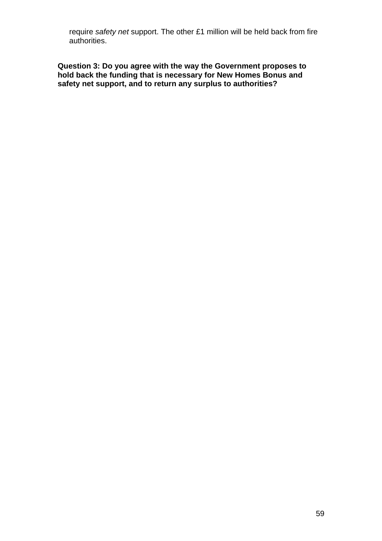require *safety net* support. The other £1 million will be held back from fire authorities.

**Question 3: Do you agree with the way the Government proposes to hold back the funding that is necessary for New Homes Bonus and safety net support, and to return any surplus to authorities?**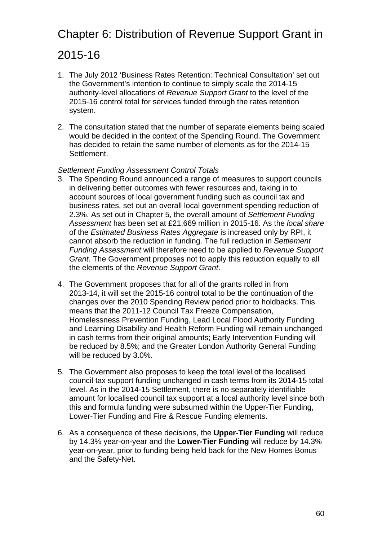## Chapter 6: Distribution of Revenue Support Grant in

### 2015-16

- 1. The July 2012 'Business Rates Retention: Technical Consultation' set out the Government's intention to continue to simply scale the 2014-15 authority-level allocations of *Revenue Support Grant* to the level of the 2015-16 control total for services funded through the rates retention system.
- 2. The consultation stated that the number of separate elements being scaled would be decided in the context of the Spending Round. The Government has decided to retain the same number of elements as for the 2014-15 **Settlement**

#### *Settlement Funding Assessment Control Totals*

- 3. The Spending Round announced a range of measures to support councils in delivering better outcomes with fewer resources and, taking in to account sources of local government funding such as council tax and business rates, set out an overall local government spending reduction of 2.3%. As set out in Chapter 5, the overall amount of *Settlement Funding Assessment* has been set at £21,669 million in 2015-16. As the *local share*  of the *Estimated Business Rates Aggregate* is increased only by RPI, it cannot absorb the reduction in funding. The full reduction in *Settlement Funding Assessment* will therefore need to be applied to *Revenue Support Grant*. The Government proposes not to apply this reduction equally to all the elements of the *Revenue Support Grant*.
- 4. The Government proposes that for all of the grants rolled in from 2013-14, it will set the 2015-16 control total to be the continuation of the changes over the 2010 Spending Review period prior to holdbacks. This means that the 2011-12 Council Tax Freeze Compensation, Homelessness Prevention Funding, Lead Local Flood Authority Funding and Learning Disability and Health Reform Funding will remain unchanged in cash terms from their original amounts; Early Intervention Funding will be reduced by 8.5%; and the Greater London Authority General Funding will be reduced by 3.0%.
- 5. The Government also proposes to keep the total level of the localised council tax support funding unchanged in cash terms from its 2014-15 total level. As in the 2014-15 Settlement, there is no separately identifiable amount for localised council tax support at a local authority level since both this and formula funding were subsumed within the Upper-Tier Funding, Lower-Tier Funding and Fire & Rescue Funding elements.
- 6. As a consequence of these decisions, the **Upper-Tier Funding** will reduce by 14.3% year-on-year and the **Lower-Tier Funding** will reduce by 14.3% year-on-year, prior to funding being held back for the New Homes Bonus and the Safety-Net.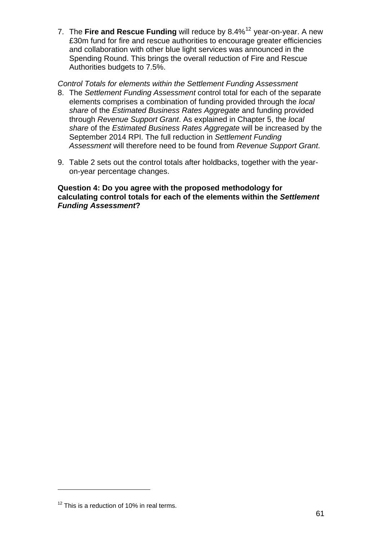<span id="page-18-0"></span>7. The Fire and Rescue Funding will reduce by 8.4%<sup>[12](#page-18-0)</sup> year-on-year. A new £30m fund for fire and rescue authorities to encourage greater efficiencies and collaboration with other blue light services was announced in the Spending Round. This brings the overall reduction of Fire and Rescue Authorities budgets to 7.5%.

#### *Control Totals for elements within the Settlement Funding Assessment*

- 8. The *Settlement Funding Assessment* control total for each of the separate elements comprises a combination of funding provided through the *local share* of the *Estimated Business Rates Aggregate* and funding provided through *Revenue Support Grant*. As explained in Chapter 5, the *local share* of the *Estimated Business Rates Aggregate* will be increased by the September 2014 RPI. The full reduction in *Settlement Funding Assessment* will therefore need to be found from *Revenue Support Grant*.
- 9. Table 2 sets out the control totals after holdbacks, together with the yearon-year percentage changes.

**Question 4: Do you agree with the proposed methodology for calculating control totals for each of the elements within the** *Settlement Funding Assessment***?** 

l

 $12$  This is a reduction of 10% in real terms.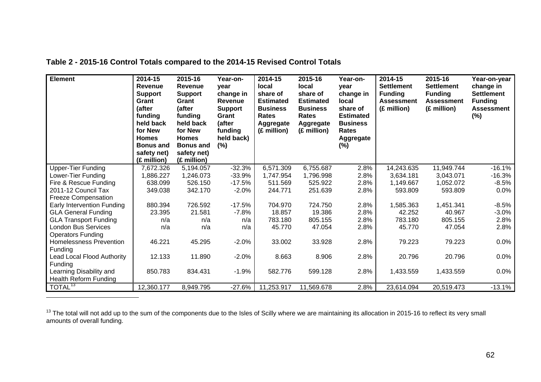| <b>Element</b>                 | 2014-15<br><b>Revenue</b><br><b>Support</b><br>Grant<br>(after<br>funding<br>held back<br>for New<br><b>Homes</b><br><b>Bonus and</b><br>safety net)<br>(£ million) | 2015-16<br><b>Revenue</b><br><b>Support</b><br>Grant<br>(after<br>funding<br>held back<br>for New<br><b>Homes</b><br><b>Bonus and</b><br>safety net)<br>(£ million) | Year-on-<br>vear<br>change in<br>Revenue<br><b>Support</b><br>Grant<br>(after<br>funding<br>held back)<br>(%) | 2014-15<br><b>local</b><br>share of<br><b>Estimated</b><br><b>Business</b><br><b>Rates</b><br>Aggregate<br>(£ million) | 2015-16<br>local<br>share of<br><b>Estimated</b><br><b>Business</b><br><b>Rates</b><br>Aggregate<br>(£ million) | Year-on-<br>vear<br>change in<br>local<br>share of<br><b>Estimated</b><br><b>Business</b><br>Rates<br>Aggregate<br>$(\%)$ | 2014-15<br><b>Settlement</b><br><b>Funding</b><br><b>Assessment</b><br>(£ million) | 2015-16<br><b>Settlement</b><br><b>Funding</b><br><b>Assessment</b><br>(£ million) | Year-on-year<br>change in<br><b>Settlement</b><br><b>Funding</b><br><b>Assessment</b><br>$(\%)$ |
|--------------------------------|---------------------------------------------------------------------------------------------------------------------------------------------------------------------|---------------------------------------------------------------------------------------------------------------------------------------------------------------------|---------------------------------------------------------------------------------------------------------------|------------------------------------------------------------------------------------------------------------------------|-----------------------------------------------------------------------------------------------------------------|---------------------------------------------------------------------------------------------------------------------------|------------------------------------------------------------------------------------|------------------------------------------------------------------------------------|-------------------------------------------------------------------------------------------------|
| <b>Upper-Tier Funding</b>      | 7,672.326                                                                                                                                                           | 5,194.057                                                                                                                                                           | $-32.3%$                                                                                                      | 6,571.309                                                                                                              | 6,755.687                                                                                                       | 2.8%                                                                                                                      | 14,243.635                                                                         | 11,949.744                                                                         | $-16.1%$                                                                                        |
| Lower-Tier Funding             | 1,886.227                                                                                                                                                           | 1,246.073                                                                                                                                                           | $-33.9%$                                                                                                      | 1,747.954                                                                                                              | 1,796.998                                                                                                       | 2.8%                                                                                                                      | 3,634.181                                                                          | 3,043.071                                                                          | $-16.3%$                                                                                        |
| Fire & Rescue Funding          | 638.099                                                                                                                                                             | 526.150                                                                                                                                                             | $-17.5%$                                                                                                      | 511.569                                                                                                                | 525.922                                                                                                         | 2.8%                                                                                                                      | 1,149.667                                                                          | 1,052.072                                                                          | $-8.5%$                                                                                         |
| 2011-12 Council Tax            | 349.038                                                                                                                                                             | 342.170                                                                                                                                                             | $-2.0%$                                                                                                       | 244.771                                                                                                                | 251.639                                                                                                         | 2.8%                                                                                                                      | 593.809                                                                            | 593.809                                                                            | 0.0%                                                                                            |
| <b>Freeze Compensation</b>     |                                                                                                                                                                     |                                                                                                                                                                     |                                                                                                               |                                                                                                                        |                                                                                                                 |                                                                                                                           |                                                                                    |                                                                                    |                                                                                                 |
| Early Intervention Funding     | 880.394                                                                                                                                                             | 726.592                                                                                                                                                             | $-17.5%$                                                                                                      | 704.970                                                                                                                | 724.750                                                                                                         | 2.8%                                                                                                                      | 1,585.363                                                                          | 1,451.341                                                                          | $-8.5%$                                                                                         |
| <b>GLA General Funding</b>     | 23.395                                                                                                                                                              | 21.581                                                                                                                                                              | $-7.8%$                                                                                                       | 18.857                                                                                                                 | 19.386                                                                                                          | 2.8%                                                                                                                      | 42.252                                                                             | 40.967                                                                             | $-3.0%$                                                                                         |
| <b>GLA Transport Funding</b>   | n/a                                                                                                                                                                 | n/a                                                                                                                                                                 | n/a                                                                                                           | 783.180                                                                                                                | 805.155                                                                                                         | 2.8%                                                                                                                      | 783.180                                                                            | 805.155                                                                            | 2.8%                                                                                            |
| <b>London Bus Services</b>     | n/a                                                                                                                                                                 | n/a                                                                                                                                                                 | n/a                                                                                                           | 45.770                                                                                                                 | 47.054                                                                                                          | 2.8%                                                                                                                      | 45.770                                                                             | 47.054                                                                             | 2.8%                                                                                            |
| <b>Operators Funding</b>       |                                                                                                                                                                     |                                                                                                                                                                     |                                                                                                               |                                                                                                                        |                                                                                                                 |                                                                                                                           |                                                                                    |                                                                                    |                                                                                                 |
| <b>Homelessness Prevention</b> | 46.221                                                                                                                                                              | 45.295                                                                                                                                                              | $-2.0%$                                                                                                       | 33.002                                                                                                                 | 33.928                                                                                                          | 2.8%                                                                                                                      | 79.223                                                                             | 79.223                                                                             | 0.0%                                                                                            |
| Funding                        |                                                                                                                                                                     |                                                                                                                                                                     |                                                                                                               |                                                                                                                        |                                                                                                                 |                                                                                                                           |                                                                                    |                                                                                    |                                                                                                 |
| Lead Local Flood Authority     | 12.133                                                                                                                                                              | 11.890                                                                                                                                                              | $-2.0%$                                                                                                       | 8.663                                                                                                                  | 8.906                                                                                                           | 2.8%                                                                                                                      | 20.796                                                                             | 20.796                                                                             | 0.0%                                                                                            |
| Funding                        |                                                                                                                                                                     |                                                                                                                                                                     |                                                                                                               |                                                                                                                        |                                                                                                                 |                                                                                                                           |                                                                                    |                                                                                    |                                                                                                 |
| Learning Disability and        | 850.783                                                                                                                                                             | 834.431                                                                                                                                                             | $-1.9%$                                                                                                       | 582.776                                                                                                                | 599.128                                                                                                         | 2.8%                                                                                                                      | 1,433.559                                                                          | 1,433.559                                                                          | 0.0%                                                                                            |
| <b>Health Reform Funding</b>   |                                                                                                                                                                     |                                                                                                                                                                     |                                                                                                               |                                                                                                                        |                                                                                                                 |                                                                                                                           |                                                                                    |                                                                                    |                                                                                                 |
| TOTAL <sup>13</sup>            | 12,360.177                                                                                                                                                          | 8,949.795                                                                                                                                                           | $-27.6%$                                                                                                      | 11,253.917                                                                                                             | 11,569.678                                                                                                      | 2.8%                                                                                                                      | 23,614.094                                                                         | 20,519.473                                                                         | $-13.1%$                                                                                        |

**Table 2 - 2015-16 Control Totals compared to the 2014-15 Revised Control Totals** 

<span id="page-19-0"></span><sup>13</sup> The total will not add up to the sum of the components due to the Isles of Scilly where we are maintaining its allocation in 2015-16 to reflect its very small amounts of overall funding.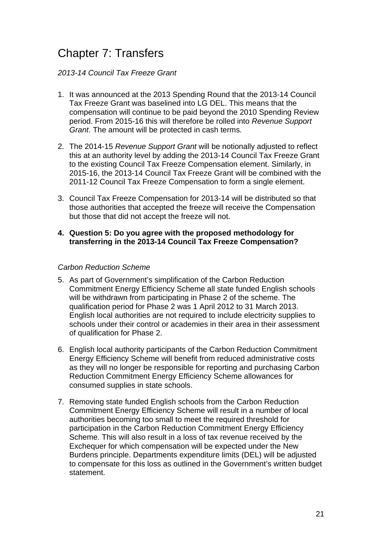### Chapter 7: Transfers

#### *2013-14 Council Tax Freeze Grant*

- 1. It was announced at the 2013 Spending Round that the 2013-14 Council Tax Freeze Grant was baselined into LG DEL. This means that the compensation will continue to be paid beyond the 2010 Spending Review period. From 2015-16 this will therefore be rolled into *Revenue Support Grant*. The amount will be protected in cash terms.
- 2. The 2014-15 *Revenue Support Grant* will be notionally adjusted to reflect this at an authority level by adding the 2013-14 Council Tax Freeze Grant to the existing Council Tax Freeze Compensation element. Similarly, in 2015-16, the 2013-14 Council Tax Freeze Grant will be combined with the 2011-12 Council Tax Freeze Compensation to form a single element.
- 3. Council Tax Freeze Compensation for 2013-14 will be distributed so that those authorities that accepted the freeze will receive the Compensation but those that did not accept the freeze will not.

#### **4. Question 5: Do you agree with the proposed methodology for transferring in the 2013-14 Council Tax Freeze Compensation?**

#### *Carbon Reduction Scheme*

- 5. As part of Government's simplification of the Carbon Reduction Commitment Energy Efficiency Scheme all state funded English schools will be withdrawn from participating in Phase 2 of the scheme. The qualification period for Phase 2 was 1 April 2012 to 31 March 2013. English local authorities are not required to include electricity supplies to schools under their control or academies in their area in their assessment of qualification for Phase 2.
- 6. English local authority participants of the Carbon Reduction Commitment Energy Efficiency Scheme will benefit from reduced administrative costs as they will no longer be responsible for reporting and purchasing Carbon Reduction Commitment Energy Efficiency Scheme allowances for consumed supplies in state schools.
- 7. Removing state funded English schools from the Carbon Reduction Commitment Energy Efficiency Scheme will result in a number of local authorities becoming too small to meet the required threshold for participation in the Carbon Reduction Commitment Energy Efficiency Scheme. This will also result in a loss of tax revenue received by the Exchequer for which compensation will be expected under the New Burdens principle. Departments expenditure limits (DEL) will be adjusted to compensate for this loss as outlined in the Government's written budget statement.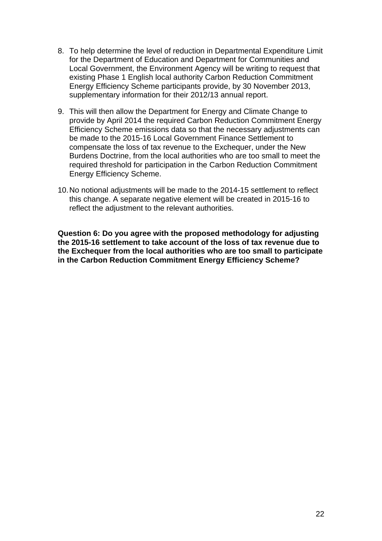- 8. To help determine the level of reduction in Departmental Expenditure Limit for the Department of Education and Department for Communities and Local Government, the Environment Agency will be writing to request that existing Phase 1 English local authority Carbon Reduction Commitment Energy Efficiency Scheme participants provide, by 30 November 2013, supplementary information for their 2012/13 annual report.
- 9. This will then allow the Department for Energy and Climate Change to provide by April 2014 the required Carbon Reduction Commitment Energy Efficiency Scheme emissions data so that the necessary adjustments can be made to the 2015-16 Local Government Finance Settlement to compensate the loss of tax revenue to the Exchequer, under the New Burdens Doctrine, from the local authorities who are too small to meet the required threshold for participation in the Carbon Reduction Commitment Energy Efficiency Scheme.
- 10. No notional adjustments will be made to the 2014-15 settlement to reflect this change. A separate negative element will be created in 2015-16 to reflect the adjustment to the relevant authorities.

**Question 6: Do you agree with the proposed methodology for adjusting the 2015-16 settlement to take account of the loss of tax revenue due to the Exchequer from the local authorities who are too small to participate in the Carbon Reduction Commitment Energy Efficiency Scheme?**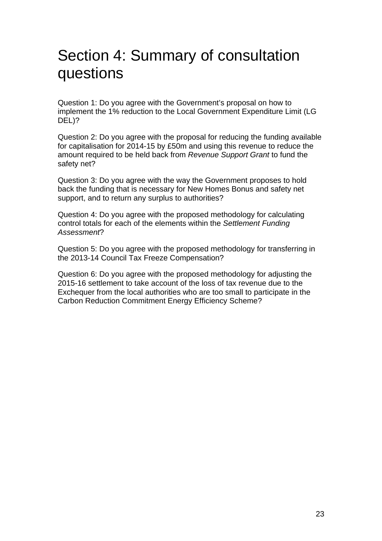## Section 4: Summary of consultation questions

Question 1: Do you agree with the Government's proposal on how to implement the 1% reduction to the Local Government Expenditure Limit (LG DEL)?

Question 2: Do you agree with the proposal for reducing the funding available for capitalisation for 2014-15 by £50m and using this revenue to reduce the amount required to be held back from *Revenue Support Grant* to fund the safety net?

Question 3: Do you agree with the way the Government proposes to hold back the funding that is necessary for New Homes Bonus and safety net support, and to return any surplus to authorities?

Question 4: Do you agree with the proposed methodology for calculating control totals for each of the elements within the *Settlement Funding Assessment*?

Question 5: Do you agree with the proposed methodology for transferring in the 2013-14 Council Tax Freeze Compensation?

Question 6: Do you agree with the proposed methodology for adjusting the 2015-16 settlement to take account of the loss of tax revenue due to the Exchequer from the local authorities who are too small to participate in the Carbon Reduction Commitment Energy Efficiency Scheme?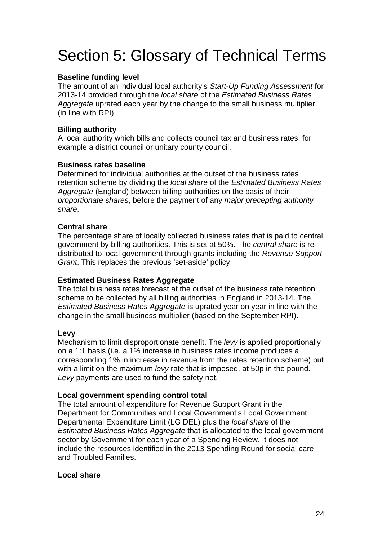## Section 5: Glossary of Technical Terms

#### **Baseline funding level**

The amount of an individual local authority's *Start-Up Funding Assessment* for 2013-14 provided through the *local share* of the *Estimated Business Rates Aggregate* uprated each year by the change to the small business multiplier (in line with RPI).

#### **Billing authority**

A local authority which bills and collects council tax and business rates, for example a district council or unitary county council.

#### **Business rates baseline**

Determined for individual authorities at the outset of the business rates retention scheme by dividing the *local share* of the *Estimated Business Rates Aggregate* (England) between billing authorities on the basis of their *proportionate shares*, before the payment of any *major precepting authority share*.

#### **Central share**

The percentage share of locally collected business rates that is paid to central government by billing authorities. This is set at 50%. The *central share* is redistributed to local government through grants including the *Revenue Support Grant*. This replaces the previous 'set-aside' policy.

#### **Estimated Business Rates Aggregate**

The total business rates forecast at the outset of the business rate retention scheme to be collected by all billing authorities in England in 2013-14. The *Estimated Business Rates Aggregate* is uprated year on year in line with the change in the small business multiplier (based on the September RPI).

#### **Levy**

Mechanism to limit disproportionate benefit. The *levy* is applied proportionally on a 1:1 basis (i.e. a 1% increase in business rates income produces a corresponding 1% in increase in revenue from the rates retention scheme) but with a limit on the maximum *levy* rate that is imposed, at 50p in the pound. *Levy* payments are used to fund the safety net.

#### **Local government spending control total**

The total amount of expenditure for Revenue Support Grant in the Department for Communities and Local Government's Local Government Departmental Expenditure Limit (LG DEL) plus the *local share* of the *Estimated Business Rates Aggregate* that is allocated to the local government sector by Government for each year of a Spending Review. It does not include the resources identified in the 2013 Spending Round for social care and Troubled Families.

#### **Local share**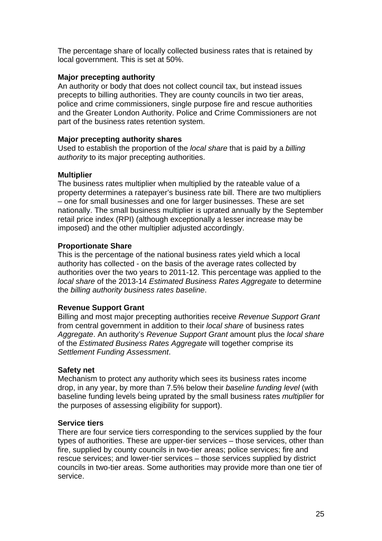The percentage share of locally collected business rates that is retained by local government. This is set at 50%.

#### **Major precepting authority**

An authority or body that does not collect council tax, but instead issues precepts to billing authorities. They are county councils in two tier areas, police and crime commissioners, single purpose fire and rescue authorities and the Greater London Authority. Police and Crime Commissioners are not part of the business rates retention system.

#### **Major precepting authority shares**

Used to establish the proportion of the *local share* that is paid by a *billing authority* to its major precepting authorities.

#### **Multiplier**

The business rates multiplier when multiplied by the rateable value of a property determines a ratepayer's business rate bill. There are two multipliers – one for small businesses and one for larger businesses. These are set nationally. The small business multiplier is uprated annually by the September retail price index (RPI) (although exceptionally a lesser increase may be imposed) and the other multiplier adjusted accordingly.

#### **Proportionate Share**

This is the percentage of the national business rates yield which a local authority has collected - on the basis of the average rates collected by authorities over the two years to 2011-12. This percentage was applied to the *local share* of the 2013-14 *Estimated Business Rates Aggregate* to determine the *billing authority business rates baseline*.

#### **Revenue Support Grant**

Billing and most major precepting authorities receive *Revenue Support Grant*  from central government in addition to their *local share* of business rates *Aggregate*. An authority's *Revenue Support Grant* amount plus the *local share*  of the *Estimated Business Rates Aggregate* will together comprise its *Settlement Funding Assessment*.

#### **Safety net**

Mechanism to protect any authority which sees its business rates income drop, in any year, by more than 7.5% below their *baseline funding level* (with baseline funding levels being uprated by the small business rates *multiplier* for the purposes of assessing eligibility for support).

#### **Service tiers**

There are four service tiers corresponding to the services supplied by the four types of authorities. These are upper-tier services – those services, other than fire, supplied by county councils in two-tier areas; police services; fire and rescue services; and lower-tier services – those services supplied by district councils in two-tier areas. Some authorities may provide more than one tier of service.